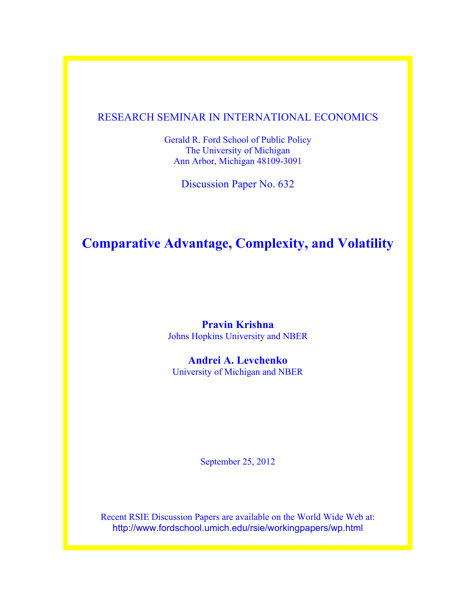### RESEARCH SEMINAR IN INTERNATIONAL ECONOMICS

Gerald R. Ford School of Public Policy The University of Michigan Ann Arbor, Michigan 48109-3091

Discussion Paper No. 632

# **Comparative Advantage, Complexity, and Volatility**

**Pravin Krishna** Johns Hopkins University and NBER

**Andrei A. Levchenko** University of Michigan and NBER

September 25, 2012

Recent RSIE Discussion Papers are available on the World Wide Web at: http://www.fordschool.umich.edu/rsie/workingpapers/wp.html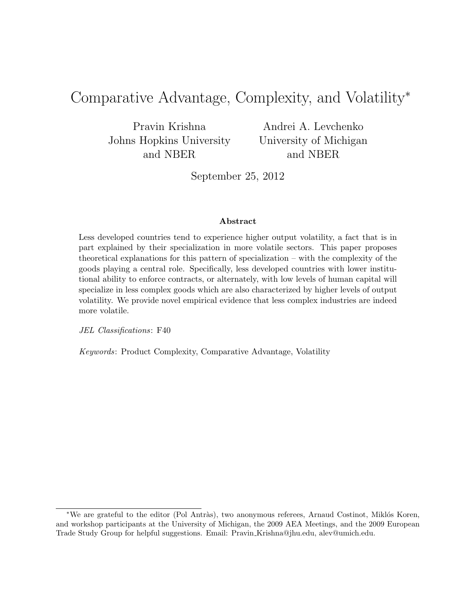# Comparative Advantage, Complexity, and Volatility<sup>∗</sup>

Pravin Krishna Johns Hopkins University and NBER

Andrei A. Levchenko University of Michigan and NBER

September 25, 2012

#### Abstract

Less developed countries tend to experience higher output volatility, a fact that is in part explained by their specialization in more volatile sectors. This paper proposes theoretical explanations for this pattern of specialization – with the complexity of the goods playing a central role. Specifically, less developed countries with lower institutional ability to enforce contracts, or alternately, with low levels of human capital will specialize in less complex goods which are also characterized by higher levels of output volatility. We provide novel empirical evidence that less complex industries are indeed more volatile.

JEL Classifications: F40

Keywords: Product Complexity, Comparative Advantage, Volatility

<sup>\*</sup>We are grateful to the editor (Pol Antràs), two anonymous referees, Arnaud Costinot, Miklós Koren, and workshop participants at the University of Michigan, the 2009 AEA Meetings, and the 2009 European Trade Study Group for helpful suggestions. Email: Pravin Krishna@jhu.edu, alev@umich.edu.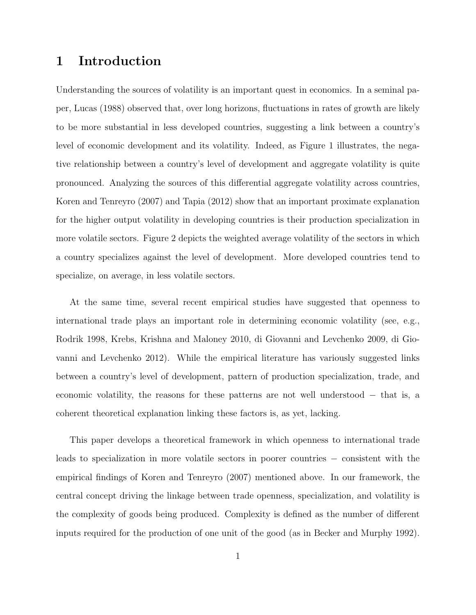### 1 Introduction

Understanding the sources of volatility is an important quest in economics. In a seminal paper, Lucas (1988) observed that, over long horizons, fluctuations in rates of growth are likely to be more substantial in less developed countries, suggesting a link between a country's level of economic development and its volatility. Indeed, as Figure 1 illustrates, the negative relationship between a country's level of development and aggregate volatility is quite pronounced. Analyzing the sources of this differential aggregate volatility across countries, Koren and Tenreyro (2007) and Tapia (2012) show that an important proximate explanation for the higher output volatility in developing countries is their production specialization in more volatile sectors. Figure 2 depicts the weighted average volatility of the sectors in which a country specializes against the level of development. More developed countries tend to specialize, on average, in less volatile sectors.

At the same time, several recent empirical studies have suggested that openness to international trade plays an important role in determining economic volatility (see, e.g., Rodrik 1998, Krebs, Krishna and Maloney 2010, di Giovanni and Levchenko 2009, di Giovanni and Levchenko 2012). While the empirical literature has variously suggested links between a country's level of development, pattern of production specialization, trade, and economic volatility, the reasons for these patterns are not well understood − that is, a coherent theoretical explanation linking these factors is, as yet, lacking.

This paper develops a theoretical framework in which openness to international trade leads to specialization in more volatile sectors in poorer countries − consistent with the empirical findings of Koren and Tenreyro (2007) mentioned above. In our framework, the central concept driving the linkage between trade openness, specialization, and volatility is the complexity of goods being produced. Complexity is defined as the number of different inputs required for the production of one unit of the good (as in Becker and Murphy 1992).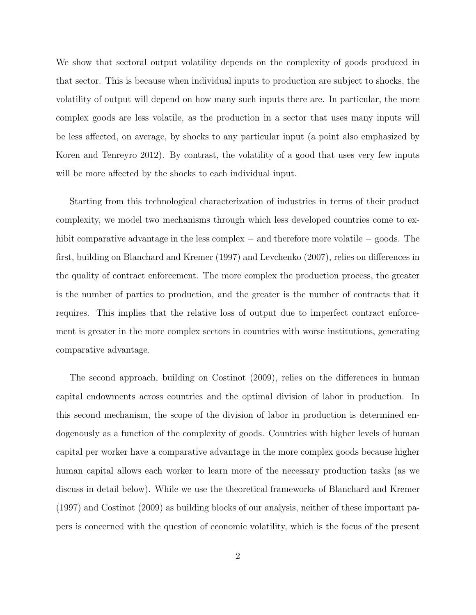We show that sectoral output volatility depends on the complexity of goods produced in that sector. This is because when individual inputs to production are subject to shocks, the volatility of output will depend on how many such inputs there are. In particular, the more complex goods are less volatile, as the production in a sector that uses many inputs will be less affected, on average, by shocks to any particular input (a point also emphasized by Koren and Tenreyro 2012). By contrast, the volatility of a good that uses very few inputs will be more affected by the shocks to each individual input.

Starting from this technological characterization of industries in terms of their product complexity, we model two mechanisms through which less developed countries come to exhibit comparative advantage in the less complex − and therefore more volatile − goods. The first, building on Blanchard and Kremer (1997) and Levchenko (2007), relies on differences in the quality of contract enforcement. The more complex the production process, the greater is the number of parties to production, and the greater is the number of contracts that it requires. This implies that the relative loss of output due to imperfect contract enforcement is greater in the more complex sectors in countries with worse institutions, generating comparative advantage.

The second approach, building on Costinot (2009), relies on the differences in human capital endowments across countries and the optimal division of labor in production. In this second mechanism, the scope of the division of labor in production is determined endogenously as a function of the complexity of goods. Countries with higher levels of human capital per worker have a comparative advantage in the more complex goods because higher human capital allows each worker to learn more of the necessary production tasks (as we discuss in detail below). While we use the theoretical frameworks of Blanchard and Kremer (1997) and Costinot (2009) as building blocks of our analysis, neither of these important papers is concerned with the question of economic volatility, which is the focus of the present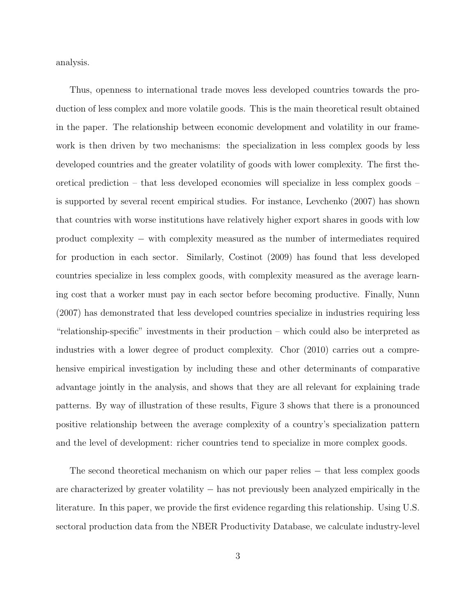analysis.

Thus, openness to international trade moves less developed countries towards the production of less complex and more volatile goods. This is the main theoretical result obtained in the paper. The relationship between economic development and volatility in our framework is then driven by two mechanisms: the specialization in less complex goods by less developed countries and the greater volatility of goods with lower complexity. The first theoretical prediction – that less developed economies will specialize in less complex goods – is supported by several recent empirical studies. For instance, Levchenko (2007) has shown that countries with worse institutions have relatively higher export shares in goods with low product complexity – with complexity measured as the number of intermediates required for production in each sector. Similarly, Costinot (2009) has found that less developed countries specialize in less complex goods, with complexity measured as the average learning cost that a worker must pay in each sector before becoming productive. Finally, Nunn (2007) has demonstrated that less developed countries specialize in industries requiring less "relationship-specific" investments in their production – which could also be interpreted as industries with a lower degree of product complexity. Chor (2010) carries out a comprehensive empirical investigation by including these and other determinants of comparative advantage jointly in the analysis, and shows that they are all relevant for explaining trade patterns. By way of illustration of these results, Figure 3 shows that there is a pronounced positive relationship between the average complexity of a country's specialization pattern and the level of development: richer countries tend to specialize in more complex goods.

The second theoretical mechanism on which our paper relies − that less complex goods are characterized by greater volatility − has not previously been analyzed empirically in the literature. In this paper, we provide the first evidence regarding this relationship. Using U.S. sectoral production data from the NBER Productivity Database, we calculate industry-level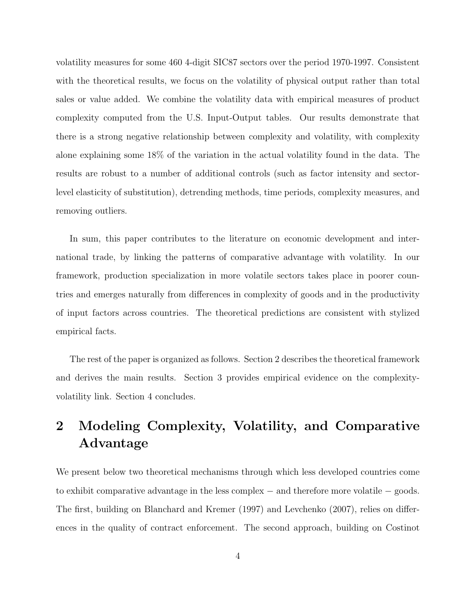volatility measures for some 460 4-digit SIC87 sectors over the period 1970-1997. Consistent with the theoretical results, we focus on the volatility of physical output rather than total sales or value added. We combine the volatility data with empirical measures of product complexity computed from the U.S. Input-Output tables. Our results demonstrate that there is a strong negative relationship between complexity and volatility, with complexity alone explaining some 18% of the variation in the actual volatility found in the data. The results are robust to a number of additional controls (such as factor intensity and sectorlevel elasticity of substitution), detrending methods, time periods, complexity measures, and removing outliers.

In sum, this paper contributes to the literature on economic development and international trade, by linking the patterns of comparative advantage with volatility. In our framework, production specialization in more volatile sectors takes place in poorer countries and emerges naturally from differences in complexity of goods and in the productivity of input factors across countries. The theoretical predictions are consistent with stylized empirical facts.

The rest of the paper is organized as follows. Section 2 describes the theoretical framework and derives the main results. Section 3 provides empirical evidence on the complexityvolatility link. Section 4 concludes.

# 2 Modeling Complexity, Volatility, and Comparative Advantage

We present below two theoretical mechanisms through which less developed countries come to exhibit comparative advantage in the less complex − and therefore more volatile − goods. The first, building on Blanchard and Kremer (1997) and Levchenko (2007), relies on differences in the quality of contract enforcement. The second approach, building on Costinot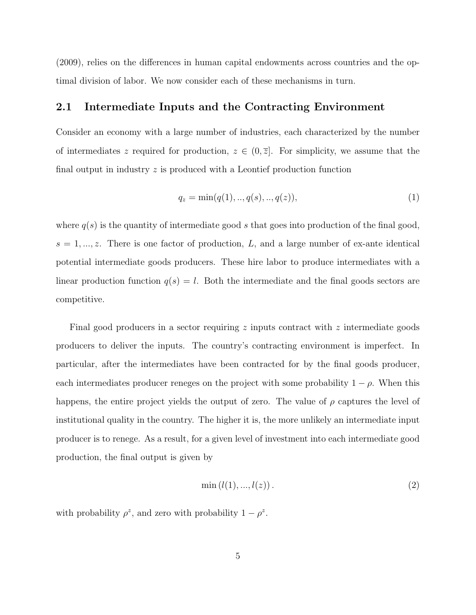(2009), relies on the differences in human capital endowments across countries and the optimal division of labor. We now consider each of these mechanisms in turn.

#### 2.1 Intermediate Inputs and the Contracting Environment

Consider an economy with a large number of industries, each characterized by the number of intermediates z required for production,  $z \in (0, \overline{z}]$ . For simplicity, we assume that the final output in industry  $z$  is produced with a Leontief production function

$$
q_z = \min(q(1), \dots, q(s), \dots, q(z)), \tag{1}
$$

where  $q(s)$  is the quantity of intermediate good s that goes into production of the final good,  $s = 1, \ldots, z$ . There is one factor of production, L, and a large number of ex-ante identical potential intermediate goods producers. These hire labor to produce intermediates with a linear production function  $q(s) = l$ . Both the intermediate and the final goods sectors are competitive.

Final good producers in a sector requiring z inputs contract with z intermediate goods producers to deliver the inputs. The country's contracting environment is imperfect. In particular, after the intermediates have been contracted for by the final goods producer, each intermediates producer reneges on the project with some probability  $1 - \rho$ . When this happens, the entire project yields the output of zero. The value of  $\rho$  captures the level of institutional quality in the country. The higher it is, the more unlikely an intermediate input producer is to renege. As a result, for a given level of investment into each intermediate good production, the final output is given by

$$
\min(l(1),...,l(z)).
$$
\n(2)

with probability  $\rho^z$ , and zero with probability  $1 - \rho^z$ .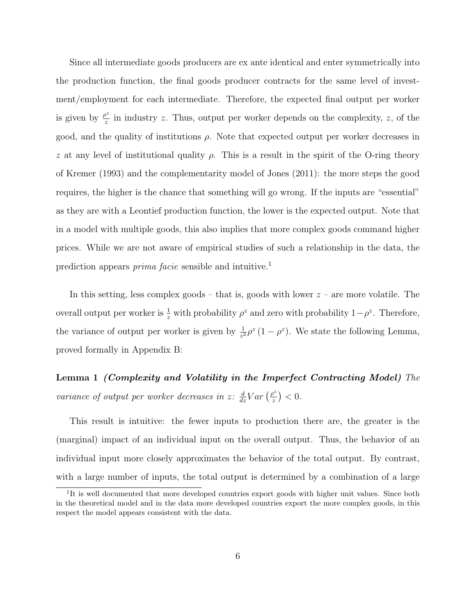Since all intermediate goods producers are ex ante identical and enter symmetrically into the production function, the final goods producer contracts for the same level of investment/employment for each intermediate. Therefore, the expected final output per worker is given by  $\frac{\rho^z}{z}$  $\frac{\partial^2}{\partial z}$  in industry z. Thus, output per worker depends on the complexity, z, of the good, and the quality of institutions  $\rho$ . Note that expected output per worker decreases in z at any level of institutional quality  $\rho$ . This is a result in the spirit of the O-ring theory of Kremer (1993) and the complementarity model of Jones (2011): the more steps the good requires, the higher is the chance that something will go wrong. If the inputs are "essential" as they are with a Leontief production function, the lower is the expected output. Note that in a model with multiple goods, this also implies that more complex goods command higher prices. While we are not aware of empirical studies of such a relationship in the data, the prediction appears *prima facie* sensible and intuitive.<sup>1</sup>

In this setting, less complex goods – that is, goods with lower  $z$  – are more volatile. The overall output per worker is  $\frac{1}{z}$  with probability  $\rho^z$  and zero with probability  $1-\rho^z$ . Therefore, the variance of output per worker is given by  $\frac{1}{z^2} \rho^z (1 - \rho^z)$ . We state the following Lemma, proved formally in Appendix B:

Lemma 1 (Complexity and Volatility in the Imperfect Contracting Model) The variance of output per worker decreases in z:  $\frac{d}{dz}Var\left(\frac{\rho^2}{z}\right)$  $\frac{p^z}{z}\big) < 0.$ 

This result is intuitive: the fewer inputs to production there are, the greater is the (marginal) impact of an individual input on the overall output. Thus, the behavior of an individual input more closely approximates the behavior of the total output. By contrast, with a large number of inputs, the total output is determined by a combination of a large

<sup>&</sup>lt;sup>1</sup>It is well documented that more developed countries export goods with higher unit values. Since both in the theoretical model and in the data more developed countries export the more complex goods, in this respect the model appears consistent with the data.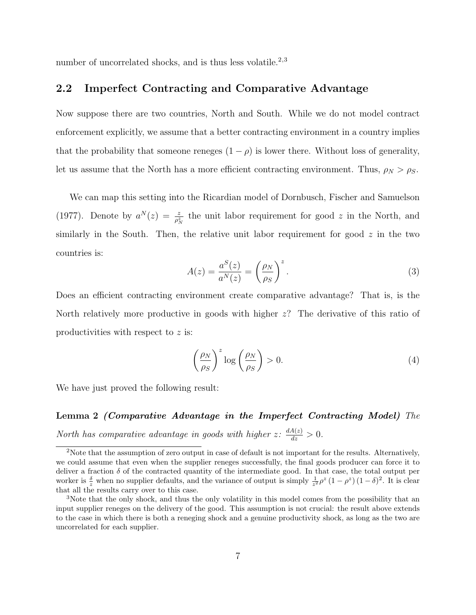number of uncorrelated shocks, and is thus less volatile.<sup>2,3</sup>

#### 2.2 Imperfect Contracting and Comparative Advantage

Now suppose there are two countries, North and South. While we do not model contract enforcement explicitly, we assume that a better contracting environment in a country implies that the probability that someone reneges  $(1 - \rho)$  is lower there. Without loss of generality, let us assume that the North has a more efficient contracting environment. Thus,  $\rho_N > \rho_S$ .

We can map this setting into the Ricardian model of Dornbusch, Fischer and Samuelson (1977). Denote by  $a^N(z) = \frac{z}{\rho_N^z}$  the unit labor requirement for good z in the North, and similarly in the South. Then, the relative unit labor requirement for good  $z$  in the two countries is:

$$
A(z) = \frac{a^{S}(z)}{a^{N}(z)} = \left(\frac{\rho_{N}}{\rho_{S}}\right)^{z}.
$$
\n(3)

Does an efficient contracting environment create comparative advantage? That is, is the North relatively more productive in goods with higher z? The derivative of this ratio of productivities with respect to z is:

$$
\left(\frac{\rho_N}{\rho_S}\right)^z \log\left(\frac{\rho_N}{\rho_S}\right) > 0. \tag{4}
$$

We have just proved the following result:

Lemma 2 (Comparative Advantage in the Imperfect Contracting Model) The North has comparative advantage in goods with higher  $z \colon \frac{dA(z)}{dz} > 0$ .

<sup>&</sup>lt;sup>2</sup>Note that the assumption of zero output in case of default is not important for the results. Alternatively, we could assume that even when the supplier reneges successfully, the final goods producer can force it to deliver a fraction  $\delta$  of the contracted quantity of the intermediate good. In that case, the total output per worker is  $\frac{\delta}{z}$  when no supplier defaults, and the variance of output is simply  $\frac{1}{z^2} \rho^z (1 - \rho^z) (1 - \delta)^2$ . It is clear that all the results carry over to this case.

<sup>3</sup>Note that the only shock, and thus the only volatility in this model comes from the possibility that an input supplier reneges on the delivery of the good. This assumption is not crucial: the result above extends to the case in which there is both a reneging shock and a genuine productivity shock, as long as the two are uncorrelated for each supplier.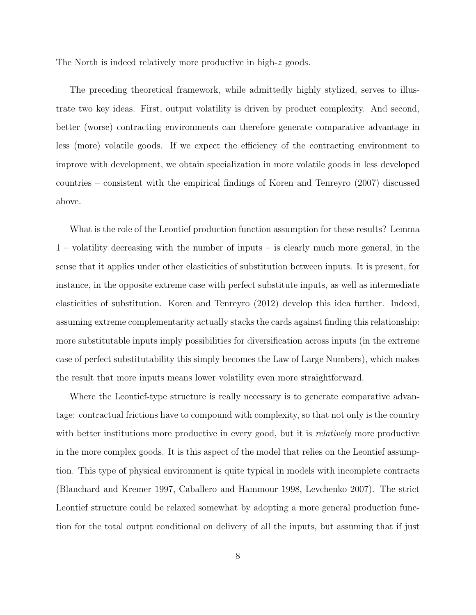The North is indeed relatively more productive in high-z goods.

The preceding theoretical framework, while admittedly highly stylized, serves to illustrate two key ideas. First, output volatility is driven by product complexity. And second, better (worse) contracting environments can therefore generate comparative advantage in less (more) volatile goods. If we expect the efficiency of the contracting environment to improve with development, we obtain specialization in more volatile goods in less developed countries – consistent with the empirical findings of Koren and Tenreyro (2007) discussed above.

What is the role of the Leontief production function assumption for these results? Lemma 1 – volatility decreasing with the number of inputs – is clearly much more general, in the sense that it applies under other elasticities of substitution between inputs. It is present, for instance, in the opposite extreme case with perfect substitute inputs, as well as intermediate elasticities of substitution. Koren and Tenreyro (2012) develop this idea further. Indeed, assuming extreme complementarity actually stacks the cards against finding this relationship: more substitutable inputs imply possibilities for diversification across inputs (in the extreme case of perfect substitutability this simply becomes the Law of Large Numbers), which makes the result that more inputs means lower volatility even more straightforward.

Where the Leontief-type structure is really necessary is to generate comparative advantage: contractual frictions have to compound with complexity, so that not only is the country with better institutions more productive in every good, but it is *relatively* more productive in the more complex goods. It is this aspect of the model that relies on the Leontief assumption. This type of physical environment is quite typical in models with incomplete contracts (Blanchard and Kremer 1997, Caballero and Hammour 1998, Levchenko 2007). The strict Leontief structure could be relaxed somewhat by adopting a more general production function for the total output conditional on delivery of all the inputs, but assuming that if just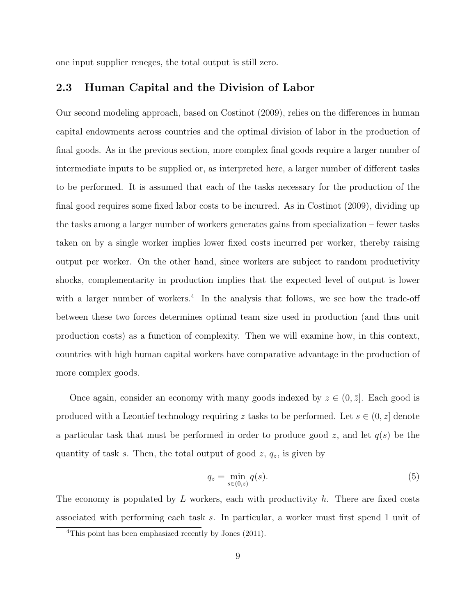one input supplier reneges, the total output is still zero.

#### 2.3 Human Capital and the Division of Labor

Our second modeling approach, based on Costinot (2009), relies on the differences in human capital endowments across countries and the optimal division of labor in the production of final goods. As in the previous section, more complex final goods require a larger number of intermediate inputs to be supplied or, as interpreted here, a larger number of different tasks to be performed. It is assumed that each of the tasks necessary for the production of the final good requires some fixed labor costs to be incurred. As in Costinot (2009), dividing up the tasks among a larger number of workers generates gains from specialization – fewer tasks taken on by a single worker implies lower fixed costs incurred per worker, thereby raising output per worker. On the other hand, since workers are subject to random productivity shocks, complementarity in production implies that the expected level of output is lower with a larger number of workers.<sup>4</sup> In the analysis that follows, we see how the trade-off between these two forces determines optimal team size used in production (and thus unit production costs) as a function of complexity. Then we will examine how, in this context, countries with high human capital workers have comparative advantage in the production of more complex goods.

Once again, consider an economy with many goods indexed by  $z \in (0, \bar{z}]$ . Each good is produced with a Leontief technology requiring z tasks to be performed. Let  $s \in (0, z]$  denote a particular task that must be performed in order to produce good z, and let  $q(s)$  be the quantity of task s. Then, the total output of good  $z$ ,  $q_z$ , is given by

$$
q_z = \min_{s \in (0,z)} q(s). \tag{5}
$$

The economy is populated by  $L$  workers, each with productivity  $h$ . There are fixed costs associated with performing each task s. In particular, a worker must first spend 1 unit of

<sup>4</sup>This point has been emphasized recently by Jones (2011).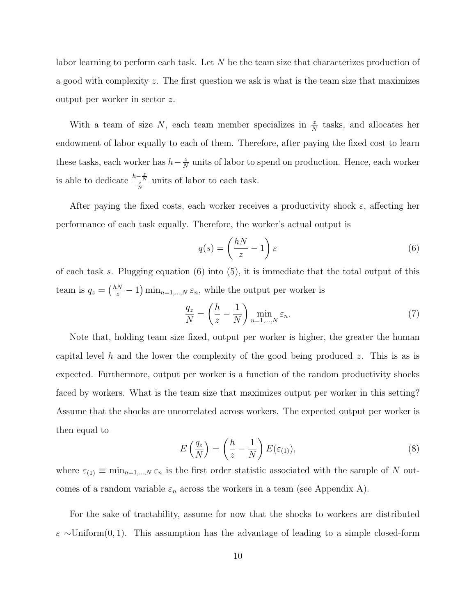labor learning to perform each task. Let  $N$  be the team size that characterizes production of a good with complexity z. The first question we ask is what is the team size that maximizes output per worker in sector z.

With a team of size N, each team member specializes in  $\frac{z}{N}$  tasks, and allocates her endowment of labor equally to each of them. Therefore, after paying the fixed cost to learn these tasks, each worker has  $h-\frac{z}{\lambda}$  $\frac{z}{N}$  units of labor to spend on production. Hence, each worker is able to dedicate  $\frac{h-\frac{z}{N}}{\frac{z}{N}}$  units of labor to each task.

After paying the fixed costs, each worker receives a productivity shock  $\varepsilon$ , affecting her performance of each task equally. Therefore, the worker's actual output is

$$
q(s) = \left(\frac{hN}{z} - 1\right)\varepsilon\tag{6}
$$

of each task s. Plugging equation  $(6)$  into  $(5)$ , it is immediate that the total output of this team is  $q_z = \left(\frac{hN}{z} - 1\right) \min_{n=1,\dots,N} \varepsilon_n$ , while the output per worker is

$$
\frac{q_z}{N} = \left(\frac{h}{z} - \frac{1}{N}\right) \min_{n=1,\dots,N} \varepsilon_n.
$$
\n(7)

Note that, holding team size fixed, output per worker is higher, the greater the human capital level h and the lower the complexity of the good being produced z. This is as is expected. Furthermore, output per worker is a function of the random productivity shocks faced by workers. What is the team size that maximizes output per worker in this setting? Assume that the shocks are uncorrelated across workers. The expected output per worker is then equal to

$$
E\left(\frac{q_z}{N}\right) = \left(\frac{h}{z} - \frac{1}{N}\right) E(\varepsilon_{(1)}),\tag{8}
$$

where  $\varepsilon_{(1)} \equiv \min_{n=1,\dots,N} \varepsilon_n$  is the first order statistic associated with the sample of N outcomes of a random variable  $\varepsilon_n$  across the workers in a team (see Appendix A).

For the sake of tractability, assume for now that the shocks to workers are distributed  $\varepsilon \sim$ Uniform(0, 1). This assumption has the advantage of leading to a simple closed-form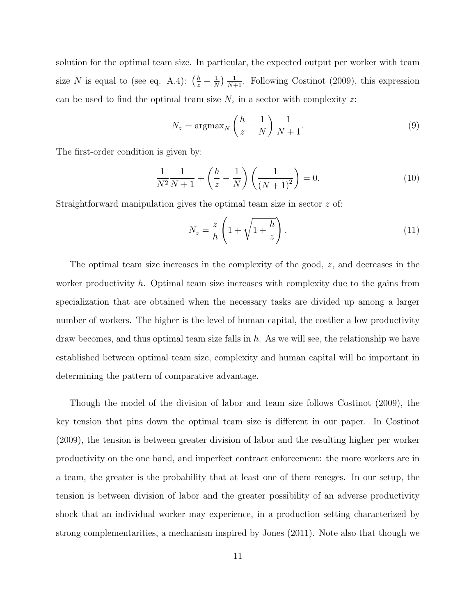solution for the optimal team size. In particular, the expected output per worker with team size N is equal to (see eq. A.4):  $\left(\frac{h}{z} - \frac{1}{N}\right)$  $\frac{1}{N}$ )  $\frac{1}{N+1}$ . Following Costinot (2009), this expression can be used to find the optimal team size  $N_z$  in a sector with complexity z:

$$
N_z = \operatorname{argmax}_{N} \left( \frac{h}{z} - \frac{1}{N} \right) \frac{1}{N+1}.
$$
\n(9)

The first-order condition is given by:

$$
\frac{1}{N^2} \frac{1}{N+1} + \left(\frac{h}{z} - \frac{1}{N}\right) \left(\frac{1}{\left(N+1\right)^2}\right) = 0.
$$
 (10)

Straightforward manipulation gives the optimal team size in sector z of:

$$
N_z = \frac{z}{h} \left( 1 + \sqrt{1 + \frac{h}{z}} \right). \tag{11}
$$

The optimal team size increases in the complexity of the good, z, and decreases in the worker productivity h. Optimal team size increases with complexity due to the gains from specialization that are obtained when the necessary tasks are divided up among a larger number of workers. The higher is the level of human capital, the costlier a low productivity draw becomes, and thus optimal team size falls in  $h$ . As we will see, the relationship we have established between optimal team size, complexity and human capital will be important in determining the pattern of comparative advantage.

Though the model of the division of labor and team size follows Costinot (2009), the key tension that pins down the optimal team size is different in our paper. In Costinot (2009), the tension is between greater division of labor and the resulting higher per worker productivity on the one hand, and imperfect contract enforcement: the more workers are in a team, the greater is the probability that at least one of them reneges. In our setup, the tension is between division of labor and the greater possibility of an adverse productivity shock that an individual worker may experience, in a production setting characterized by strong complementarities, a mechanism inspired by Jones (2011). Note also that though we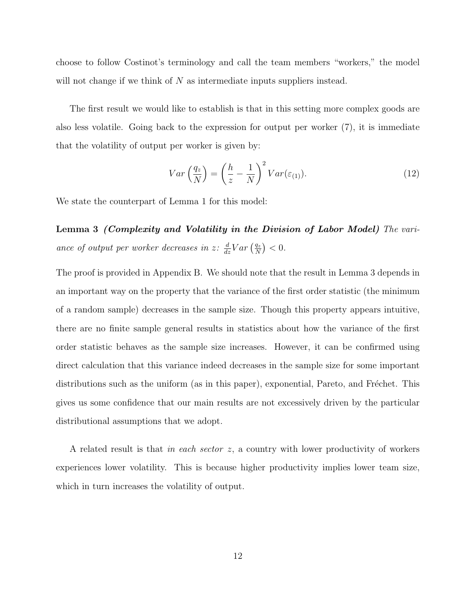choose to follow Costinot's terminology and call the team members "workers," the model will not change if we think of  $N$  as intermediate inputs suppliers instead.

The first result we would like to establish is that in this setting more complex goods are also less volatile. Going back to the expression for output per worker (7), it is immediate that the volatility of output per worker is given by:

$$
Var\left(\frac{q_z}{N}\right) = \left(\frac{h}{z} - \frac{1}{N}\right)^2 Var(\varepsilon_{(1)}).
$$
\n(12)

We state the counterpart of Lemma 1 for this model:

Lemma 3 (Complexity and Volatility in the Division of Labor Model) The variance of output per worker decreases in z:  $\frac{d}{dz}Var\left(\frac{q_z}{N}\right)$  $\frac{q_z}{N}$  >  $0$ .

The proof is provided in Appendix B. We should note that the result in Lemma 3 depends in an important way on the property that the variance of the first order statistic (the minimum of a random sample) decreases in the sample size. Though this property appears intuitive, there are no finite sample general results in statistics about how the variance of the first order statistic behaves as the sample size increases. However, it can be confirmed using direct calculation that this variance indeed decreases in the sample size for some important distributions such as the uniform (as in this paper), exponential, Pareto, and Fréchet. This gives us some confidence that our main results are not excessively driven by the particular distributional assumptions that we adopt.

A related result is that in each sector z, a country with lower productivity of workers experiences lower volatility. This is because higher productivity implies lower team size, which in turn increases the volatility of output.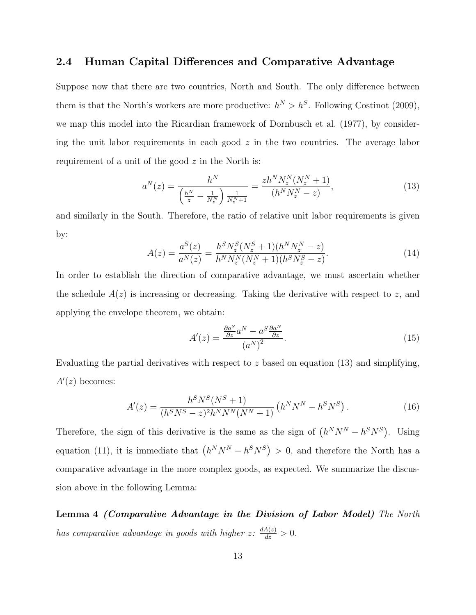#### 2.4 Human Capital Differences and Comparative Advantage

Suppose now that there are two countries, North and South. The only difference between them is that the North's workers are more productive:  $h^N > h^S$ . Following Costinot (2009), we map this model into the Ricardian framework of Dornbusch et al. (1977), by considering the unit labor requirements in each good  $z$  in the two countries. The average labor requirement of a unit of the good  $z$  in the North is:

$$
a^{N}(z) = \frac{h^{N}}{\left(\frac{h^{N}}{z} - \frac{1}{N_{z}^{N}}\right) \frac{1}{N_{z}^{N} + 1}} = \frac{zh^{N} N_{z}^{N}(N_{z}^{N} + 1)}{(h^{N} N_{z}^{N} - z)},
$$
\n(13)

and similarly in the South. Therefore, the ratio of relative unit labor requirements is given by:

$$
A(z) = \frac{a^S(z)}{a^N(z)} = \frac{h^S N_z^S (N_z^S + 1)(h^N N_z^N - z)}{h^N N_z^N (N_z^N + 1)(h^S N_z^S - z)}.
$$
\n(14)

In order to establish the direction of comparative advantage, we must ascertain whether the schedule  $A(z)$  is increasing or decreasing. Taking the derivative with respect to z, and applying the envelope theorem, we obtain:

$$
A'(z) = \frac{\frac{\partial a^S}{\partial z} a^N - a^S \frac{\partial a^N}{\partial z}}{(a^N)^2}.
$$
\n(15)

Evaluating the partial derivatives with respect to z based on equation  $(13)$  and simplifying,  $A'(z)$  becomes:

$$
A'(z) = \frac{h^S N^S (N^S + 1)}{(h^S N^S - z)^2 h^N N^N (N^N + 1)} \left( h^N N^N - h^S N^S \right). \tag{16}
$$

Therefore, the sign of this derivative is the same as the sign of  $(h^N N^N - h^S N^S)$ . Using equation (11), it is immediate that  $(h^N N^N - h^S N^S) > 0$ , and therefore the North has a comparative advantage in the more complex goods, as expected. We summarize the discussion above in the following Lemma:

Lemma 4 (Comparative Advantage in the Division of Labor Model) The North has comparative advantage in goods with higher  $z \colon \frac{dA(z)}{dz} > 0$ .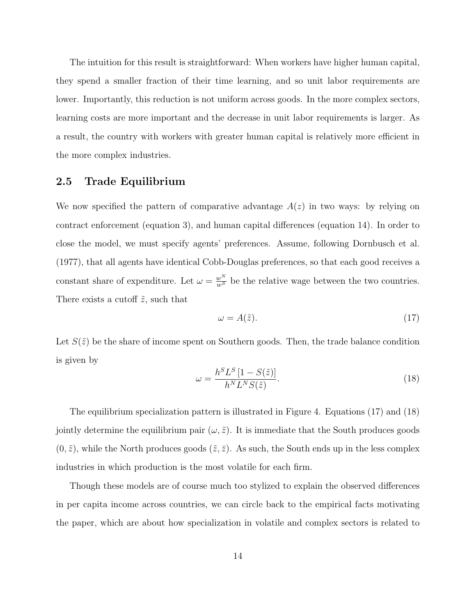The intuition for this result is straightforward: When workers have higher human capital, they spend a smaller fraction of their time learning, and so unit labor requirements are lower. Importantly, this reduction is not uniform across goods. In the more complex sectors, learning costs are more important and the decrease in unit labor requirements is larger. As a result, the country with workers with greater human capital is relatively more efficient in the more complex industries.

#### 2.5 Trade Equilibrium

We now specified the pattern of comparative advantage  $A(z)$  in two ways: by relying on contract enforcement (equation 3), and human capital differences (equation 14). In order to close the model, we must specify agents' preferences. Assume, following Dornbusch et al. (1977), that all agents have identical Cobb-Douglas preferences, so that each good receives a constant share of expenditure. Let  $\omega = \frac{w^N}{w^S}$  be the relative wage between the two countries. There exists a cutoff  $\tilde{z}$ , such that

$$
\omega = A(\tilde{z}).\tag{17}
$$

Let  $S(\tilde{z})$  be the share of income spent on Southern goods. Then, the trade balance condition is given by

$$
\omega = \frac{h^S L^S \left[1 - S(\tilde{z})\right]}{h^N L^N S(\tilde{z})}.
$$
\n(18)

The equilibrium specialization pattern is illustrated in Figure 4. Equations (17) and (18) jointly determine the equilibrium pair  $(\omega, \tilde{z})$ . It is immediate that the South produces goods  $(0, \tilde{z})$ , while the North produces goods  $(\tilde{z}, \bar{z})$ . As such, the South ends up in the less complex industries in which production is the most volatile for each firm.

Though these models are of course much too stylized to explain the observed differences in per capita income across countries, we can circle back to the empirical facts motivating the paper, which are about how specialization in volatile and complex sectors is related to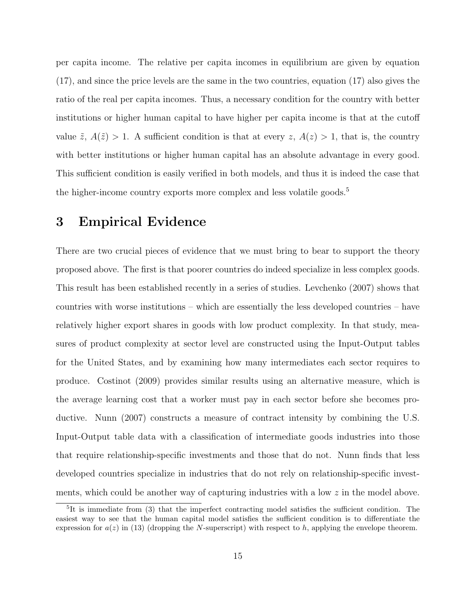per capita income. The relative per capita incomes in equilibrium are given by equation (17), and since the price levels are the same in the two countries, equation (17) also gives the ratio of the real per capita incomes. Thus, a necessary condition for the country with better institutions or higher human capital to have higher per capita income is that at the cutoff value  $\tilde{z}$ ,  $A(\tilde{z}) > 1$ . A sufficient condition is that at every  $z$ ,  $A(z) > 1$ , that is, the country with better institutions or higher human capital has an absolute advantage in every good. This sufficient condition is easily verified in both models, and thus it is indeed the case that the higher-income country exports more complex and less volatile goods.<sup>5</sup>

### 3 Empirical Evidence

There are two crucial pieces of evidence that we must bring to bear to support the theory proposed above. The first is that poorer countries do indeed specialize in less complex goods. This result has been established recently in a series of studies. Levchenko (2007) shows that countries with worse institutions – which are essentially the less developed countries – have relatively higher export shares in goods with low product complexity. In that study, measures of product complexity at sector level are constructed using the Input-Output tables for the United States, and by examining how many intermediates each sector requires to produce. Costinot (2009) provides similar results using an alternative measure, which is the average learning cost that a worker must pay in each sector before she becomes productive. Nunn (2007) constructs a measure of contract intensity by combining the U.S. Input-Output table data with a classification of intermediate goods industries into those that require relationship-specific investments and those that do not. Nunn finds that less developed countries specialize in industries that do not rely on relationship-specific investments, which could be another way of capturing industries with a low  $z$  in the model above.

<sup>&</sup>lt;sup>5</sup>It is immediate from (3) that the imperfect contracting model satisfies the sufficient condition. The easiest way to see that the human capital model satisfies the sufficient condition is to differentiate the expression for  $a(z)$  in (13) (dropping the N-superscript) with respect to h, applying the envelope theorem.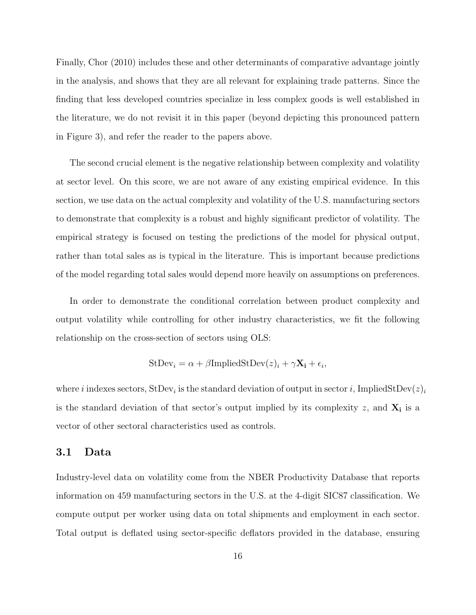Finally, Chor (2010) includes these and other determinants of comparative advantage jointly in the analysis, and shows that they are all relevant for explaining trade patterns. Since the finding that less developed countries specialize in less complex goods is well established in the literature, we do not revisit it in this paper (beyond depicting this pronounced pattern in Figure 3), and refer the reader to the papers above.

The second crucial element is the negative relationship between complexity and volatility at sector level. On this score, we are not aware of any existing empirical evidence. In this section, we use data on the actual complexity and volatility of the U.S. manufacturing sectors to demonstrate that complexity is a robust and highly significant predictor of volatility. The empirical strategy is focused on testing the predictions of the model for physical output, rather than total sales as is typical in the literature. This is important because predictions of the model regarding total sales would depend more heavily on assumptions on preferences.

In order to demonstrate the conditional correlation between product complexity and output volatility while controlling for other industry characteristics, we fit the following relationship on the cross-section of sectors using OLS:

$$
StDevi = \alpha + \beta ImpliedStDev(z)i + \gamma Xi + \epsiloni,
$$

where *i* indexes sectors,  $\text{StDev}_i$  is the standard deviation of output in sector *i*, ImpliedStDev $(z)_i$ is the standard deviation of that sector's output implied by its complexity  $z$ , and  $\mathbf{X}_i$  is a vector of other sectoral characteristics used as controls.

#### 3.1 Data

Industry-level data on volatility come from the NBER Productivity Database that reports information on 459 manufacturing sectors in the U.S. at the 4-digit SIC87 classification. We compute output per worker using data on total shipments and employment in each sector. Total output is deflated using sector-specific deflators provided in the database, ensuring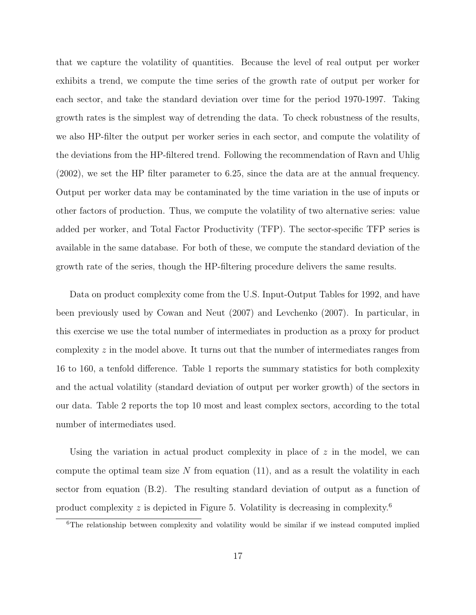that we capture the volatility of quantities. Because the level of real output per worker exhibits a trend, we compute the time series of the growth rate of output per worker for each sector, and take the standard deviation over time for the period 1970-1997. Taking growth rates is the simplest way of detrending the data. To check robustness of the results, we also HP-filter the output per worker series in each sector, and compute the volatility of the deviations from the HP-filtered trend. Following the recommendation of Ravn and Uhlig (2002), we set the HP filter parameter to 6.25, since the data are at the annual frequency. Output per worker data may be contaminated by the time variation in the use of inputs or other factors of production. Thus, we compute the volatility of two alternative series: value added per worker, and Total Factor Productivity (TFP). The sector-specific TFP series is available in the same database. For both of these, we compute the standard deviation of the growth rate of the series, though the HP-filtering procedure delivers the same results.

Data on product complexity come from the U.S. Input-Output Tables for 1992, and have been previously used by Cowan and Neut (2007) and Levchenko (2007). In particular, in this exercise we use the total number of intermediates in production as a proxy for product complexity  $z$  in the model above. It turns out that the number of intermediates ranges from 16 to 160, a tenfold difference. Table 1 reports the summary statistics for both complexity and the actual volatility (standard deviation of output per worker growth) of the sectors in our data. Table 2 reports the top 10 most and least complex sectors, according to the total number of intermediates used.

Using the variation in actual product complexity in place of  $z$  in the model, we can compute the optimal team size N from equation  $(11)$ , and as a result the volatility in each sector from equation (B.2). The resulting standard deviation of output as a function of product complexity z is depicted in Figure 5. Volatility is decreasing in complexity.<sup>6</sup>

<sup>&</sup>lt;sup>6</sup>The relationship between complexity and volatility would be similar if we instead computed implied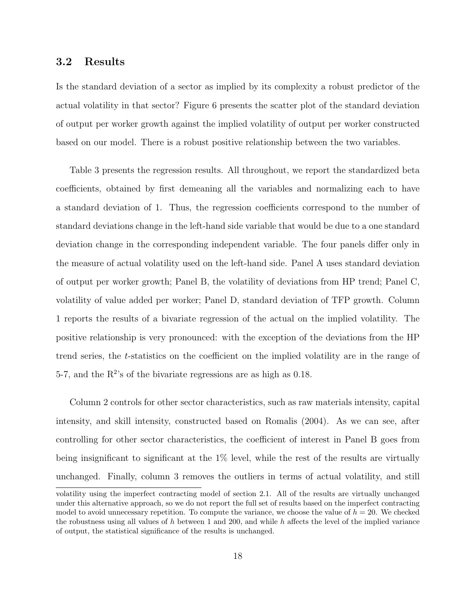#### 3.2 Results

Is the standard deviation of a sector as implied by its complexity a robust predictor of the actual volatility in that sector? Figure 6 presents the scatter plot of the standard deviation of output per worker growth against the implied volatility of output per worker constructed based on our model. There is a robust positive relationship between the two variables.

Table 3 presents the regression results. All throughout, we report the standardized beta coefficients, obtained by first demeaning all the variables and normalizing each to have a standard deviation of 1. Thus, the regression coefficients correspond to the number of standard deviations change in the left-hand side variable that would be due to a one standard deviation change in the corresponding independent variable. The four panels differ only in the measure of actual volatility used on the left-hand side. Panel A uses standard deviation of output per worker growth; Panel B, the volatility of deviations from HP trend; Panel C, volatility of value added per worker; Panel D, standard deviation of TFP growth. Column 1 reports the results of a bivariate regression of the actual on the implied volatility. The positive relationship is very pronounced: with the exception of the deviations from the HP trend series, the t-statistics on the coefficient on the implied volatility are in the range of 5-7, and the  $R^2$ 's of the bivariate regressions are as high as 0.18.

Column 2 controls for other sector characteristics, such as raw materials intensity, capital intensity, and skill intensity, constructed based on Romalis (2004). As we can see, after controlling for other sector characteristics, the coefficient of interest in Panel B goes from being insignificant to significant at the 1% level, while the rest of the results are virtually unchanged. Finally, column 3 removes the outliers in terms of actual volatility, and still volatility using the imperfect contracting model of section 2.1. All of the results are virtually unchanged under this alternative approach, so we do not report the full set of results based on the imperfect contracting model to avoid unnecessary repetition. To compute the variance, we choose the value of  $h = 20$ . We checked the robustness using all values of  $h$  between 1 and 200, and while  $h$  affects the level of the implied variance of output, the statistical significance of the results is unchanged.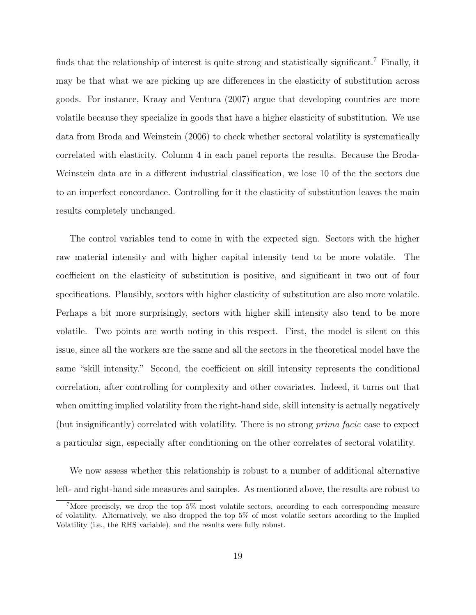finds that the relationship of interest is quite strong and statistically significant.<sup>7</sup> Finally, it may be that what we are picking up are differences in the elasticity of substitution across goods. For instance, Kraay and Ventura (2007) argue that developing countries are more volatile because they specialize in goods that have a higher elasticity of substitution. We use data from Broda and Weinstein (2006) to check whether sectoral volatility is systematically correlated with elasticity. Column 4 in each panel reports the results. Because the Broda-Weinstein data are in a different industrial classification, we lose 10 of the the sectors due to an imperfect concordance. Controlling for it the elasticity of substitution leaves the main results completely unchanged.

The control variables tend to come in with the expected sign. Sectors with the higher raw material intensity and with higher capital intensity tend to be more volatile. The coefficient on the elasticity of substitution is positive, and significant in two out of four specifications. Plausibly, sectors with higher elasticity of substitution are also more volatile. Perhaps a bit more surprisingly, sectors with higher skill intensity also tend to be more volatile. Two points are worth noting in this respect. First, the model is silent on this issue, since all the workers are the same and all the sectors in the theoretical model have the same "skill intensity." Second, the coefficient on skill intensity represents the conditional correlation, after controlling for complexity and other covariates. Indeed, it turns out that when omitting implied volatility from the right-hand side, skill intensity is actually negatively (but insignificantly) correlated with volatility. There is no strong prima facie case to expect a particular sign, especially after conditioning on the other correlates of sectoral volatility.

We now assess whether this relationship is robust to a number of additional alternative left- and right-hand side measures and samples. As mentioned above, the results are robust to

<sup>&</sup>lt;sup>7</sup>More precisely, we drop the top  $5\%$  most volatile sectors, according to each corresponding measure of volatility. Alternatively, we also dropped the top 5% of most volatile sectors according to the Implied Volatility (i.e., the RHS variable), and the results were fully robust.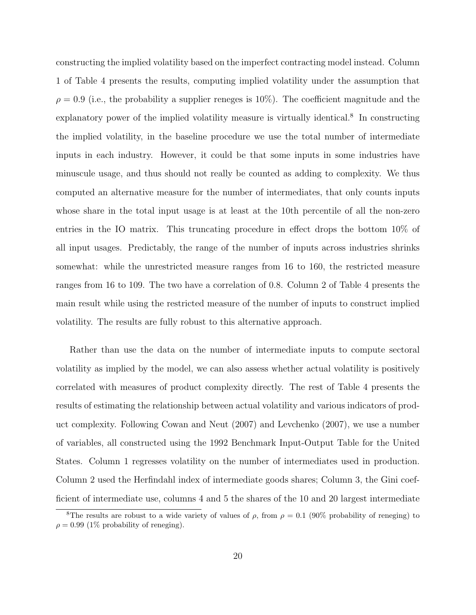constructing the implied volatility based on the imperfect contracting model instead. Column 1 of Table 4 presents the results, computing implied volatility under the assumption that  $\rho = 0.9$  (i.e., the probability a supplier reneges is 10%). The coefficient magnitude and the explanatory power of the implied volatility measure is virtually identical.<sup>8</sup> In constructing the implied volatility, in the baseline procedure we use the total number of intermediate inputs in each industry. However, it could be that some inputs in some industries have minuscule usage, and thus should not really be counted as adding to complexity. We thus computed an alternative measure for the number of intermediates, that only counts inputs whose share in the total input usage is at least at the 10th percentile of all the non-zero entries in the IO matrix. This truncating procedure in effect drops the bottom 10% of all input usages. Predictably, the range of the number of inputs across industries shrinks somewhat: while the unrestricted measure ranges from 16 to 160, the restricted measure ranges from 16 to 109. The two have a correlation of 0.8. Column 2 of Table 4 presents the main result while using the restricted measure of the number of inputs to construct implied volatility. The results are fully robust to this alternative approach.

Rather than use the data on the number of intermediate inputs to compute sectoral volatility as implied by the model, we can also assess whether actual volatility is positively correlated with measures of product complexity directly. The rest of Table 4 presents the results of estimating the relationship between actual volatility and various indicators of product complexity. Following Cowan and Neut (2007) and Levchenko (2007), we use a number of variables, all constructed using the 1992 Benchmark Input-Output Table for the United States. Column 1 regresses volatility on the number of intermediates used in production. Column 2 used the Herfindahl index of intermediate goods shares; Column 3, the Gini coefficient of intermediate use, columns 4 and 5 the shares of the 10 and 20 largest intermediate

<sup>&</sup>lt;sup>8</sup>The results are robust to a wide variety of values of  $\rho$ , from  $\rho = 0.1$  (90% probability of reneging) to  $\rho = 0.99$  (1% probability of reneging).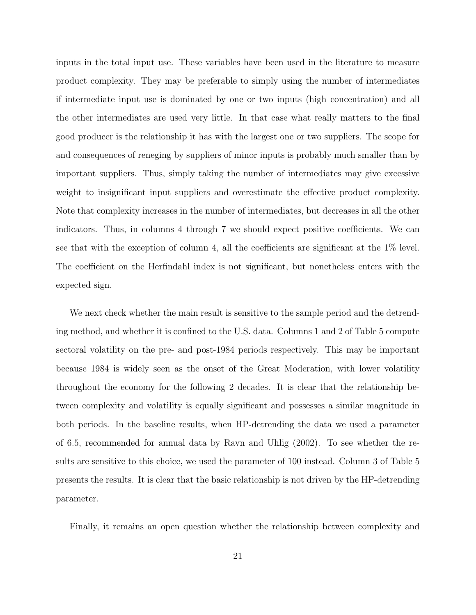inputs in the total input use. These variables have been used in the literature to measure product complexity. They may be preferable to simply using the number of intermediates if intermediate input use is dominated by one or two inputs (high concentration) and all the other intermediates are used very little. In that case what really matters to the final good producer is the relationship it has with the largest one or two suppliers. The scope for and consequences of reneging by suppliers of minor inputs is probably much smaller than by important suppliers. Thus, simply taking the number of intermediates may give excessive weight to insignificant input suppliers and overestimate the effective product complexity. Note that complexity increases in the number of intermediates, but decreases in all the other indicators. Thus, in columns 4 through 7 we should expect positive coefficients. We can see that with the exception of column 4, all the coefficients are significant at the 1% level. The coefficient on the Herfindahl index is not significant, but nonetheless enters with the expected sign.

We next check whether the main result is sensitive to the sample period and the detrending method, and whether it is confined to the U.S. data. Columns 1 and 2 of Table 5 compute sectoral volatility on the pre- and post-1984 periods respectively. This may be important because 1984 is widely seen as the onset of the Great Moderation, with lower volatility throughout the economy for the following 2 decades. It is clear that the relationship between complexity and volatility is equally significant and possesses a similar magnitude in both periods. In the baseline results, when HP-detrending the data we used a parameter of 6.5, recommended for annual data by Ravn and Uhlig (2002). To see whether the results are sensitive to this choice, we used the parameter of 100 instead. Column 3 of Table 5 presents the results. It is clear that the basic relationship is not driven by the HP-detrending parameter.

Finally, it remains an open question whether the relationship between complexity and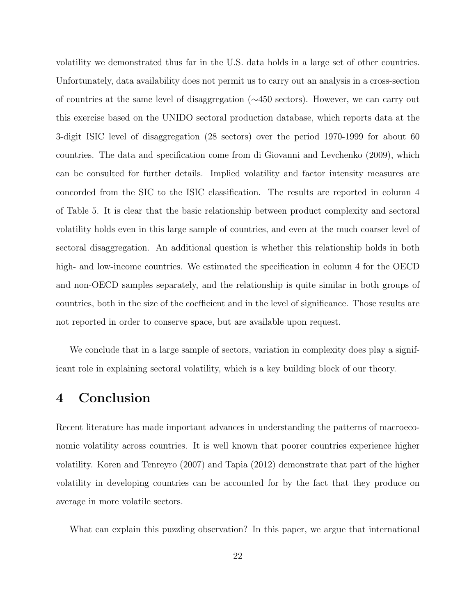volatility we demonstrated thus far in the U.S. data holds in a large set of other countries. Unfortunately, data availability does not permit us to carry out an analysis in a cross-section of countries at the same level of disaggregation (∼450 sectors). However, we can carry out this exercise based on the UNIDO sectoral production database, which reports data at the 3-digit ISIC level of disaggregation (28 sectors) over the period 1970-1999 for about 60 countries. The data and specification come from di Giovanni and Levchenko (2009), which can be consulted for further details. Implied volatility and factor intensity measures are concorded from the SIC to the ISIC classification. The results are reported in column 4 of Table 5. It is clear that the basic relationship between product complexity and sectoral volatility holds even in this large sample of countries, and even at the much coarser level of sectoral disaggregation. An additional question is whether this relationship holds in both high- and low-income countries. We estimated the specification in column 4 for the OECD and non-OECD samples separately, and the relationship is quite similar in both groups of countries, both in the size of the coefficient and in the level of significance. Those results are not reported in order to conserve space, but are available upon request.

We conclude that in a large sample of sectors, variation in complexity does play a significant role in explaining sectoral volatility, which is a key building block of our theory.

## 4 Conclusion

Recent literature has made important advances in understanding the patterns of macroeconomic volatility across countries. It is well known that poorer countries experience higher volatility. Koren and Tenreyro (2007) and Tapia (2012) demonstrate that part of the higher volatility in developing countries can be accounted for by the fact that they produce on average in more volatile sectors.

What can explain this puzzling observation? In this paper, we argue that international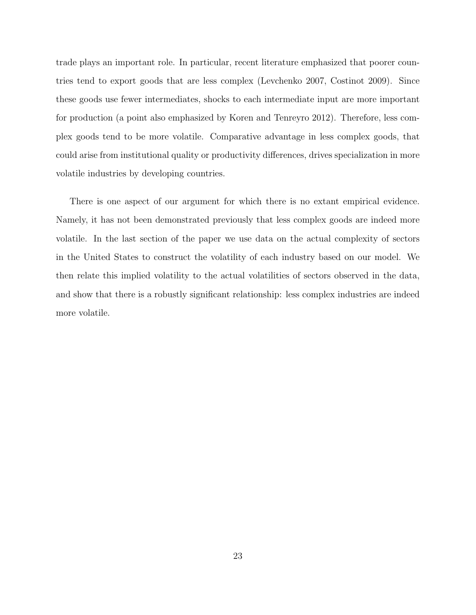trade plays an important role. In particular, recent literature emphasized that poorer countries tend to export goods that are less complex (Levchenko 2007, Costinot 2009). Since these goods use fewer intermediates, shocks to each intermediate input are more important for production (a point also emphasized by Koren and Tenreyro 2012). Therefore, less complex goods tend to be more volatile. Comparative advantage in less complex goods, that could arise from institutional quality or productivity differences, drives specialization in more volatile industries by developing countries.

There is one aspect of our argument for which there is no extant empirical evidence. Namely, it has not been demonstrated previously that less complex goods are indeed more volatile. In the last section of the paper we use data on the actual complexity of sectors in the United States to construct the volatility of each industry based on our model. We then relate this implied volatility to the actual volatilities of sectors observed in the data, and show that there is a robustly significant relationship: less complex industries are indeed more volatile.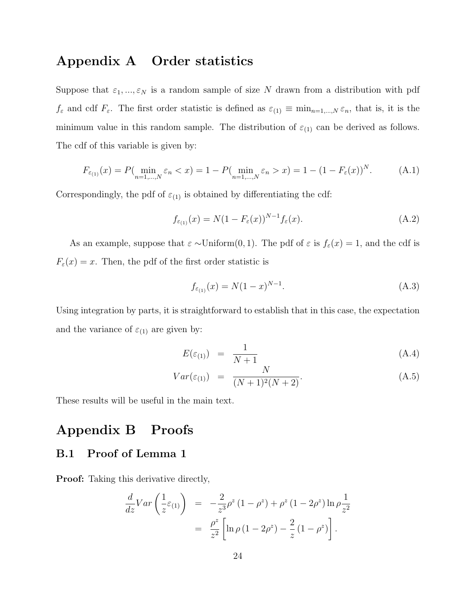## Appendix A Order statistics

Suppose that  $\varepsilon_1, ..., \varepsilon_N$  is a random sample of size N drawn from a distribution with pdf  $f_{\varepsilon}$  and cdf  $F_{\varepsilon}$ . The first order statistic is defined as  $\varepsilon_{(1)} \equiv \min_{n=1,\dots,N} \varepsilon_n$ , that is, it is the minimum value in this random sample. The distribution of  $\varepsilon_{(1)}$  can be derived as follows. The cdf of this variable is given by:

$$
F_{\varepsilon_{(1)}}(x) = P(\min_{n=1,\dots,N} \varepsilon_n < x) = 1 - P(\min_{n=1,\dots,N} \varepsilon_n > x) = 1 - (1 - F_{\varepsilon}(x))^N. \tag{A.1}
$$

Correspondingly, the pdf of  $\varepsilon_{(1)}$  is obtained by differentiating the cdf:

$$
f_{\varepsilon(1)}(x) = N(1 - F_{\varepsilon}(x))^{N-1} f_{\varepsilon}(x).
$$
 (A.2)

As an example, suppose that  $\varepsilon \sim \text{Uniform}(0, 1)$ . The pdf of  $\varepsilon$  is  $f_{\varepsilon}(x) = 1$ , and the cdf is  $F_{\varepsilon}(x) = x$ . Then, the pdf of the first order statistic is

$$
f_{\varepsilon_{(1)}}(x) = N(1-x)^{N-1}.
$$
\n(A.3)

Using integration by parts, it is straightforward to establish that in this case, the expectation and the variance of  $\varepsilon_{(1)}$  are given by:

$$
E(\varepsilon_{(1)}) = \frac{1}{N+1} \tag{A.4}
$$

$$
Var(\varepsilon_{(1)}) = \frac{N}{(N+1)^2(N+2)}.
$$
\n(A.5)

These results will be useful in the main text.

## Appendix B Proofs

### B.1 Proof of Lemma 1

Proof: Taking this derivative directly,

$$
\frac{d}{dz}Var\left(\frac{1}{z}\varepsilon_{(1)}\right) = -\frac{2}{z^3}\rho^z (1 - \rho^z) + \rho^z (1 - 2\rho^z) \ln \rho \frac{1}{z^2}
$$

$$
= \frac{\rho^z}{z^2} \left[ \ln \rho (1 - 2\rho^z) - \frac{2}{z} (1 - \rho^z) \right].
$$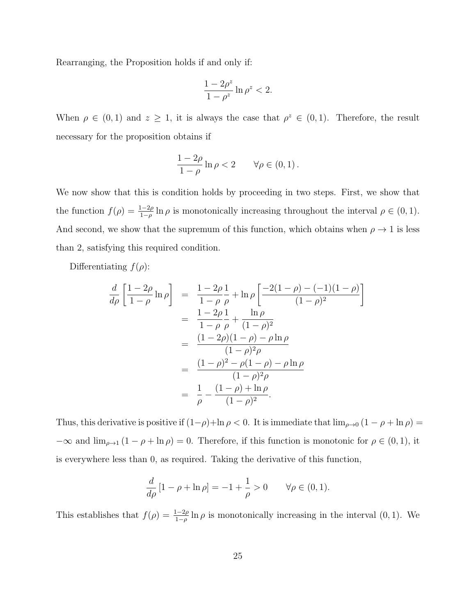Rearranging, the Proposition holds if and only if:

$$
\frac{1-2\rho^z}{1-\rho^z}\ln\rho^z<2.
$$

When  $\rho \in (0,1)$  and  $z \geq 1$ , it is always the case that  $\rho^z \in (0,1)$ . Therefore, the result necessary for the proposition obtains if

$$
\frac{1-2\rho}{1-\rho}\ln\rho<2\qquad\forall\rho\in(0,1)\,.
$$

We now show that this is condition holds by proceeding in two steps. First, we show that the function  $f(\rho) = \frac{1-2\rho}{1-\rho} \ln \rho$  is monotonically increasing throughout the interval  $\rho \in (0,1)$ . And second, we show that the supremum of this function, which obtains when  $\rho \rightarrow 1$  is less than 2, satisfying this required condition.

Differentiating  $f(\rho)$ :

$$
\frac{d}{d\rho} \left[ \frac{1 - 2\rho}{1 - \rho} \ln \rho \right] = \frac{1 - 2\rho}{1 - \rho} \frac{1}{\rho} + \ln \rho \left[ \frac{-2(1 - \rho) - (-1)(1 - \rho)}{(1 - \rho)^2} \right]
$$

$$
= \frac{1 - 2\rho}{1 - \rho} \frac{1}{\rho} + \frac{\ln \rho}{(1 - \rho)^2}
$$

$$
= \frac{(1 - 2\rho)(1 - \rho) - \rho \ln \rho}{(1 - \rho)^2 \rho}
$$

$$
= \frac{(1 - \rho)^2 - \rho(1 - \rho) - \rho \ln \rho}{(1 - \rho)^2 \rho}
$$

$$
= \frac{1}{\rho} - \frac{(1 - \rho) + \ln \rho}{(1 - \rho)^2}.
$$

Thus, this derivative is positive if  $(1-\rho)+\ln \rho < 0$ . It is immediate that  $\lim_{\rho\to 0} (1-\rho+\ln \rho) =$  $-\infty$  and  $\lim_{\rho \to 1} (1 - \rho + \ln \rho) = 0$ . Therefore, if this function is monotonic for  $\rho \in (0, 1)$ , it is everywhere less than 0, as required. Taking the derivative of this function,

$$
\frac{d}{d\rho} [1 - \rho + \ln \rho] = -1 + \frac{1}{\rho} > 0 \quad \forall \rho \in (0, 1).
$$

This establishes that  $f(\rho) = \frac{1-2\rho}{1-\rho} \ln \rho$  is monotonically increasing in the interval  $(0, 1)$ . We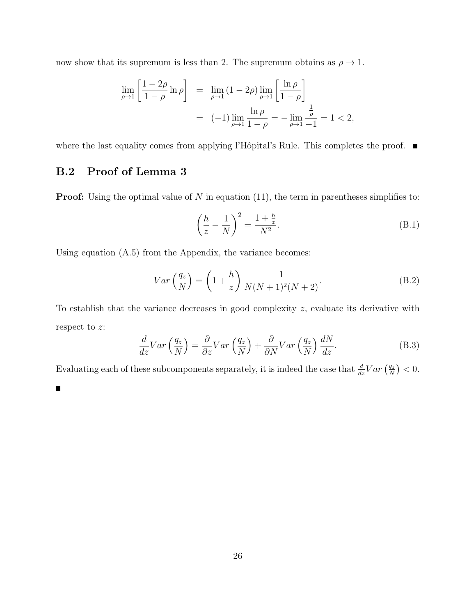now show that its supremum is less than 2. The supremum obtains as  $\rho \to 1.$ 

$$
\lim_{\rho \to 1} \left[ \frac{1 - 2\rho}{1 - \rho} \ln \rho \right] = \lim_{\rho \to 1} (1 - 2\rho) \lim_{\rho \to 1} \left[ \frac{\ln \rho}{1 - \rho} \right]
$$

$$
= (-1) \lim_{\rho \to 1} \frac{\ln \rho}{1 - \rho} = -\lim_{\rho \to 1} \frac{\frac{1}{\rho}}{-1} = 1 < 2,
$$

where the last equality comes from applying l'Hôpital's Rule. This completes the proof.  $\blacksquare$ 

### B.2 Proof of Lemma 3

**Proof:** Using the optimal value of  $N$  in equation (11), the term in parentheses simplifies to:

$$
\left(\frac{h}{z} - \frac{1}{N}\right)^2 = \frac{1 + \frac{h}{z}}{N^2}.
$$
\n(B.1)

Using equation (A.5) from the Appendix, the variance becomes:

$$
Var\left(\frac{q_z}{N}\right) = \left(1 + \frac{h}{z}\right) \frac{1}{N(N+1)^2(N+2)}.
$$
\n(B.2)

To establish that the variance decreases in good complexity z, evaluate its derivative with respect to z:

$$
\frac{d}{dz}Var\left(\frac{q_z}{N}\right) = \frac{\partial}{\partial z}Var\left(\frac{q_z}{N}\right) + \frac{\partial}{\partial N}Var\left(\frac{q_z}{N}\right)\frac{dN}{dz}.
$$
\n(B.3)

Evaluating each of these subcomponents separately, it is indeed the case that  $\frac{d}{dz}Var\left(\frac{q_z}{N}\right)$  $\frac{q_z}{N}$  >  $0$ .

 $\blacksquare$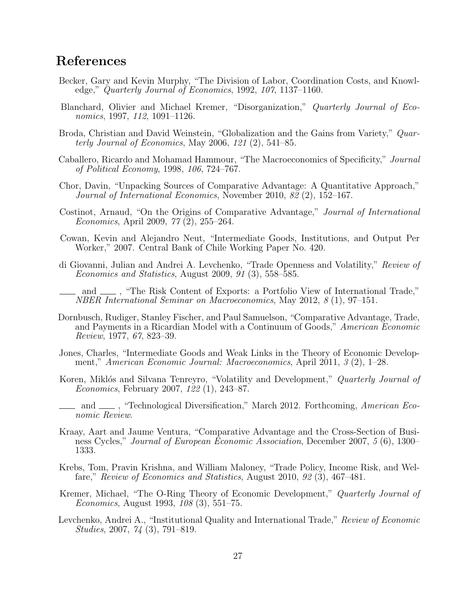## References

- Becker, Gary and Kevin Murphy, "The Division of Labor, Coordination Costs, and Knowledge," Quarterly Journal of Economics, 1992, 107, 1137–1160.
- Blanchard, Olivier and Michael Kremer, "Disorganization," Quarterly Journal of Economics, 1997, 112, 1091–1126.
- Broda, Christian and David Weinstein, "Globalization and the Gains from Variety," Quarterly Journal of Economics, May 2006, 121 (2), 541–85.
- Caballero, Ricardo and Mohamad Hammour, "The Macroeconomics of Specificity," Journal of Political Economy, 1998, 106, 724–767.
- Chor, Davin, "Unpacking Sources of Comparative Advantage: A Quantitative Approach," Journal of International Economics, November 2010, 82 (2), 152–167.
- Costinot, Arnaud, "On the Origins of Comparative Advantage," Journal of International Economics, April 2009, 77 (2), 255–264.
- Cowan, Kevin and Alejandro Neut, "Intermediate Goods, Institutions, and Output Per Worker," 2007. Central Bank of Chile Working Paper No. 420.
- di Giovanni, Julian and Andrei A. Levchenko, "Trade Openness and Volatility," Review of Economics and Statistics, August 2009, 91 (3), 558–585.
- and  $\mu$ , "The Risk Content of Exports: a Portfolio View of International Trade," NBER International Seminar on Macroeconomics, May 2012, 8 (1), 97–151.
- Dornbusch, Rudiger, Stanley Fischer, and Paul Samuelson, "Comparative Advantage, Trade, and Payments in a Ricardian Model with a Continuum of Goods," American Economic Review, 1977, 67, 823–39.
- Jones, Charles, "Intermediate Goods and Weak Links in the Theory of Economic Development," American Economic Journal: Macroeconomics, April 2011, 3 (2), 1–28.
- Koren, Miklós and Silvana Tenreyro, "Volatility and Development," Quarterly Journal of Economics, February 2007, 122 (1), 243–87.
- and  $\_\_\$ , "Technological Diversification," March 2012. Forthcoming, American Economic Review.
- Kraay, Aart and Jaume Ventura, "Comparative Advantage and the Cross-Section of Business Cycles," Journal of European Economic Association, December 2007, 5 (6), 1300– 1333.
- Krebs, Tom, Pravin Krishna, and William Maloney, "Trade Policy, Income Risk, and Welfare," Review of Economics and Statistics, August 2010, 92 (3), 467–481.
- Kremer, Michael, "The O-Ring Theory of Economic Development," Quarterly Journal of Economics, August 1993, 108 (3), 551–75.
- Levchenko, Andrei A., "Institutional Quality and International Trade," Review of Economic Studies, 2007, 74 (3), 791–819.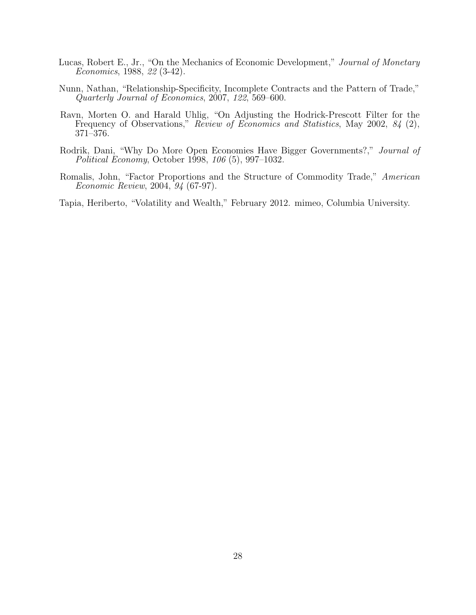- Lucas, Robert E., Jr., "On the Mechanics of Economic Development," Journal of Monetary Economics, 1988, 22 (3-42).
- Nunn, Nathan, "Relationship-Specificity, Incomplete Contracts and the Pattern of Trade," Quarterly Journal of Economics, 2007, 122, 569–600.
- Ravn, Morten O. and Harald Uhlig, "On Adjusting the Hodrick-Prescott Filter for the Frequency of Observations," Review of Economics and Statistics, May 2002, 84 (2), 371–376.
- Rodrik, Dani, "Why Do More Open Economies Have Bigger Governments?," Journal of Political Economy, October 1998, 106 (5), 997–1032.
- Romalis, John, "Factor Proportions and the Structure of Commodity Trade," American Economic Review, 2004, 94 (67-97).

Tapia, Heriberto, "Volatility and Wealth," February 2012. mimeo, Columbia University.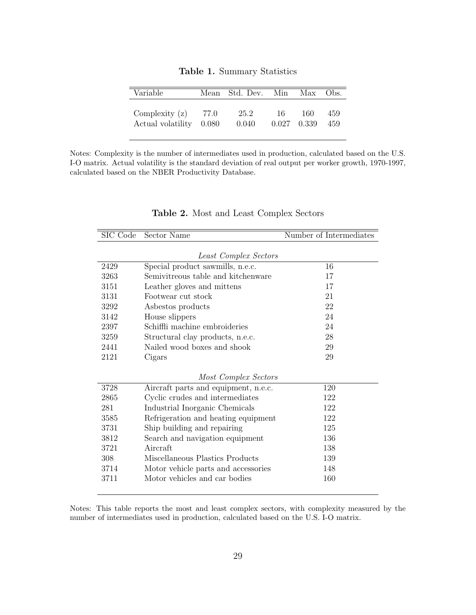| Variable          |       | Mean Std. Dev. Min |    | Max           | Obs. |
|-------------------|-------|--------------------|----|---------------|------|
| Complexity $(z)$  | 77.0  | 25.2               | 16 | 160           | 459  |
| Actual volatility | 0.080 | 0.040              |    | $0.027$ 0.339 | 459  |

Table 1. Summary Statistics

Notes: Complexity is the number of intermediates used in production, calculated based on the U.S. I-O matrix. Actual volatility is the standard deviation of real output per worker growth, 1970-1997, calculated based on the NBER Productivity Database.

| SIC Code | Sector Name                                                            | Number of Intermediates |
|----------|------------------------------------------------------------------------|-------------------------|
|          | <b>Least Complex Sectors</b>                                           |                         |
| 2429     |                                                                        | 16                      |
| 3263     | Special product sawmills, n.e.c.<br>Semivitreous table and kitchenware | 17                      |
|          |                                                                        |                         |
| 3151     | Leather gloves and mittens                                             | 17                      |
| 3131     | Footwear cut stock                                                     | 21                      |
| 3292     | Asbestos products                                                      | 22                      |
| 3142     | House slippers                                                         | 24                      |
| 2397     | Schiffli machine embroideries                                          | 24                      |
| 3259     | Structural clay products, n.e.c.                                       | 28                      |
| 2441     | Nailed wood boxes and shook                                            | 29                      |
| 2121     | Cigars                                                                 | 29                      |
|          | Most Complex Sectors                                                   |                         |
| 3728     | Aircraft parts and equipment, n.e.c.                                   | 120                     |
| 2865     | Cyclic crudes and intermediates                                        | 122                     |
| 281      | Industrial Inorganic Chemicals                                         | 122                     |
| 3585     | Refrigeration and heating equipment                                    | 122                     |
| 3731     | Ship building and repairing                                            | 125                     |
| 3812     | Search and navigation equipment                                        | 136                     |
| 3721     | Aircraft                                                               | 138                     |
| 308      | Miscellaneous Plastics Products                                        | 139                     |
| 3714     | Motor vehicle parts and accessories                                    | 148                     |
| 3711     | Motor vehicles and car bodies                                          | 160                     |

Table 2. Most and Least Complex Sectors

Notes: This table reports the most and least complex sectors, with complexity measured by the number of intermediates used in production, calculated based on the U.S. I-O matrix.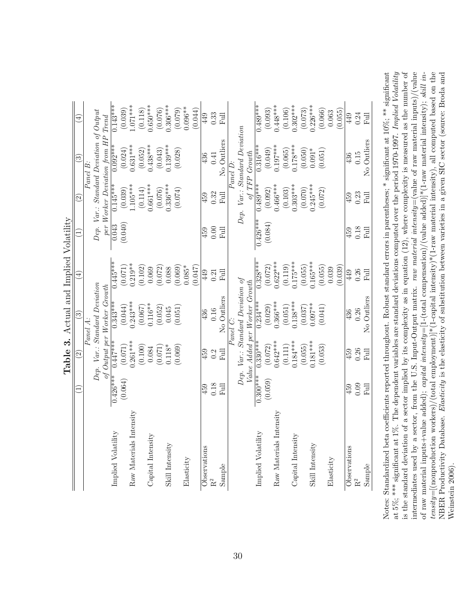|                         |            |                          | Table 3. Actual and Implied Volatility |                         |            |                       |                                         |                 |
|-------------------------|------------|--------------------------|----------------------------------------|-------------------------|------------|-----------------------|-----------------------------------------|-----------------|
|                         |            | $\widehat{\mathfrak{O}}$ | $\widehat{\mathbb{C}}$                 | $\left(\pm\right)$      |            | $\widehat{\Omega}$    | ව                                       | $\widehat{\pm}$ |
|                         |            |                          | Panel A:                               |                         |            |                       | Panel B:                                |                 |
|                         |            |                          | Dep. Var.: Standard Deviation          |                         |            |                       | Dep. Var.: Standard Deviation of Output |                 |
|                         |            |                          | of Output per Worker Growth            |                         |            |                       | per Worker Deviation from HP Trend      |                 |
| Implied Volatility      | $0.426***$ | $0.447***$               | $0.343***$                             | $0.445***$              | 0.043      | $0.145***$            | $0.092***$                              | $0.143***$      |
|                         | (0.064)    | $(0.071)$<br>0.261***    | $(0.044)$<br>0.243***                  | $(0.071)$<br>$0.219***$ | (0.040)    | $(0.039)$<br>1.105*** | $(0.024)$<br>0.631***                   | (0.039)         |
| Raw Materials Intensity |            |                          |                                        |                         |            |                       |                                         | $1.071***$      |
|                         |            | (0.100)                  | (0.067)                                | (0.102)                 |            | (0.114)               | (0.052)                                 | (0.118)         |
| Capital Intensity       |            | 0.084                    | $0.116**$                              | 0.069                   |            | $0.661***$            | $0.438***$                              | $0.650***$      |
|                         |            | (0.071)                  | (0.052)                                | (0.072)                 |            | (0.076)               | (0.043)                                 | (0.076)         |
| Skill Intensity         |            | $0.118*$                 | 0.045                                  | 0.088                   |            | $0.336***$            | $0.139***$                              | $0.306***$      |
|                         |            | (0.069)                  | (0.051)                                | (0.069)                 |            | (0.074)               | (0.028)                                 | (0.079)         |
| Elasticity              |            |                          |                                        | $0.085*$                |            |                       |                                         | $0.096**$       |
|                         |            |                          |                                        | (7F0.0)                 |            |                       |                                         | (0.044)         |
| Observations            | 459        | 459                      | 436                                    | 449                     | 459        | 459                   | 436                                     | 449             |
| R <sup>2</sup>          | 0.18       | 0.2                      | 0.16                                   | 0.21                    | 0.00       | 0.32                  | 0.41                                    | 0.33            |
| Sample                  | Full       | $_{\rm{Full}}$           | No Outliers                            | Full                    | Full       | Ful                   | No Outliers                             | 司               |
|                         |            |                          | Panel C:                               |                         |            |                       | Panel D:                                |                 |
|                         |            |                          | Dep. Var.: Standard Deviation of       |                         |            |                       | Dep. Var.: Standard Deviation           |                 |
|                         |            |                          | Value Added per Worker Growth          |                         |            |                       | of TFP Growth                           |                 |
| Implied Volatility      | $0.300***$ | $0.330***$               | $0.234***$                             | $0.328***$              | $0.426***$ | $0.489***$            | $0.316***$                              | $0.489***$      |
|                         | (0.059)    | (0.072)                  | (0.029)                                | (0.072)                 | (0.084)    | (0.092)               | $(0.049)$<br>0.197***                   | (0.093)         |
| Raw Materials Intensity |            | $0.642***$               | $0.366***$                             | $0.622***$              |            | $0.466***$            |                                         | $0.448***$      |
|                         |            | (0.111)                  | (0.051)                                | (0.119)                 |            | (0.103)               | (0.065)                                 | (0.106)         |
| Capital Intensity       |            | $0.184***$               | $0.138***$                             | $0.175***$              |            | $0.303***$            | $0.178***$                              | $0.302***$      |
|                         |            | (0.055)                  | (0.037)                                | (0.055)                 |            | (0.070)               | (0.050)                                 | (0.073)         |
| Skill Intensity         |            | $0.181***$               | $0.097***$                             | $0.165***$              |            | $0.245***$            | $0.091*$                                | $0.226***$      |
|                         |            | (0.053)                  | (0.041)                                | (0.055)                 |            | (0.072)               | (0.051)                                 | (0.066)         |
| Elasticity              |            |                          |                                        | 0.039                   |            |                       |                                         | 0.063           |
|                         |            |                          |                                        | (0.039)                 |            |                       |                                         | (0.055)         |
| Observations            | 459        | 459                      | 436                                    | 449                     | 459        | 459                   | 436                                     | 449             |
| R <sup>2</sup>          | 0.09       | 0.26                     | 0.26                                   | $0.26\,$                | $0.18\,$   | $0.23\,$              | 0.15                                    | 0.24            |
| Sample                  | Full       | Full                     | No Outliers                            | Full                    | Full       | Full                  | No Outliers                             | Full            |
|                         |            |                          |                                        |                         |            |                       |                                         |                 |

| i<br>:<br>Ř                            |
|----------------------------------------|
| mplied<br>$\frac{1}{2}$<br>ł<br>j<br>j |
| <b>RITR</b><br>oue                     |
| ctual<br>l                             |
| Ć                                      |

at 5%; \*\*\* significant at 1%. The dependent variables are standard deviations computed over the period 1970-1997. Implied Volatility is the standard deviation of a sector implied by its complexity as in equation (12), where complexity is measured as the number of intermediates used by a sector, from the U.S. Input-Output matrix. raw material intensity=(value of raw material inputs)/(value of raw material inputs+value added); capital intensity=[1-(total compensation)/(value added)]\*(1-raw material intensity); skill in $tensity = [(nonproduction) / (total employment)]*(1-capital intensity)* (1-raw material intensity), all computed based on the$ Notes: Standardized beta coefficients reported throughout. Robust standard errors in parentheses; \* significant at 10%; \*\* significant at 5%; \*\*\* significant at 1%. The dependent variables are standard deviations computed over the period 1970-1997. Implied Volatility is the standard deviation of a sector implied by its complexity as in equation (12), where complexity is measured as the number of NBER Productivity Database. Elasticity is the elasticity of substitution between varieties in a given SIC sector (source: Broda and Notes: Standardized beta coefficients reported throughout. Robust standard errors in parentheses; \* significant at 10%; \*\* significant intermediates used by a sector, from the U.S. Input-Output matrix. raw material intensity=(value of raw material inputs)/(value of raw material inputs+value added); capital intensity=[1-(total compensation)/(value added)]\*(1-raw material intensity); skill intensity=[(nonproduction workers)/(total employment)]\*(1-capital intensity)\*(1-raw material intensity), all computed based on the NBER Productivity Database. Elasticity is the elasticity of substitution between varieties in a given SIC sector (source: Broda and Weinstein 2006). Weinstein 2006).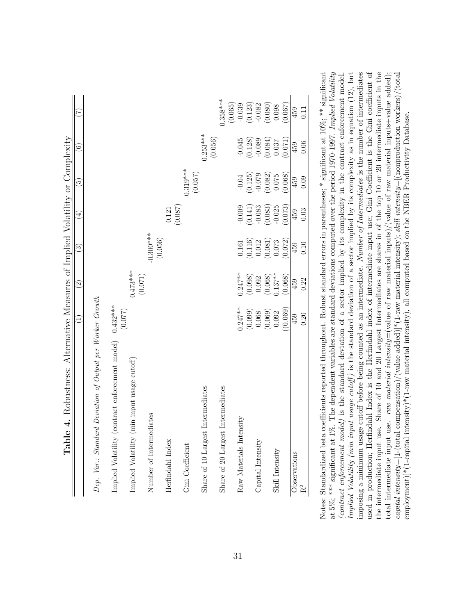|                                                           | $\overline{z}$                            | $\odot$               | త                                               | 4                                                                               | $\widetilde{\mathbf{e}}$                        | $\widehat{\circ}$                               | E                                                                                                  |
|-----------------------------------------------------------|-------------------------------------------|-----------------------|-------------------------------------------------|---------------------------------------------------------------------------------|-------------------------------------------------|-------------------------------------------------|----------------------------------------------------------------------------------------------------|
| Dep. Var.: Standard Deviation of Output per Worker Growth |                                           |                       |                                                 |                                                                                 |                                                 |                                                 |                                                                                                    |
| (contract enforcement model)<br>Implied Volatility        | $0.432***$<br>(0.077)                     |                       |                                                 |                                                                                 |                                                 |                                                 |                                                                                                    |
| (min input usage cutoff)<br>Implied Volatility            |                                           | $0.473***$<br>(0.071) |                                                 |                                                                                 |                                                 |                                                 |                                                                                                    |
| Number of Intermediates                                   |                                           |                       | $-0.300***$                                     |                                                                                 |                                                 |                                                 |                                                                                                    |
| Herfindahl Index                                          |                                           |                       | (0.056)                                         | (0.087)<br>0.121                                                                |                                                 |                                                 |                                                                                                    |
| Gini Coefficient                                          |                                           |                       |                                                 |                                                                                 | $0.319***$<br>(0.057)                           |                                                 |                                                                                                    |
| Share of 10 Largest Intermediates                         |                                           |                       |                                                 |                                                                                 |                                                 | $0.253***$<br>(0.056)                           |                                                                                                    |
| Share of 20 Largest Intermediates                         |                                           |                       |                                                 |                                                                                 |                                                 |                                                 | $0.358***$                                                                                         |
|                                                           |                                           |                       |                                                 |                                                                                 |                                                 |                                                 |                                                                                                    |
| Raw Materials Intensity                                   | $0.247**$                                 | $0.247**$             | $\!0.161$                                       |                                                                                 | $-0.04$                                         |                                                 | $\begin{array}{c} (0.065) \\ -0.039 \\ (0.123) \\ -0.082 \\ 0.082 \\ (0.080) \\ 0.098 \end{array}$ |
|                                                           | (0.099)                                   | (0.098)               | $\begin{array}{c} (0.116) \\ 0.012 \end{array}$ | $\begin{array}{c} -0.009 \\ (0.141) \\ -0.083 \\ (0.083) \\ -0.025 \end{array}$ | $(0.125)$<br>$-0.079$                           | $-0.045$<br>$(0.128)$<br>$-0.089$               |                                                                                                    |
| Capital Intensity                                         | 0.068                                     | 0.092                 |                                                 |                                                                                 |                                                 |                                                 |                                                                                                    |
|                                                           | $\left(0.069\right)$ $\left(0.092\right)$ | $(0.068)$<br>0.137**  | $\begin{array}{c} (0.081) \\ 0.073 \end{array}$ |                                                                                 | $\begin{array}{c} (0.082) \\ 0.075 \end{array}$ | $\begin{array}{c} (0.084) \\ 0.037 \end{array}$ |                                                                                                    |
| Skill Intensity                                           |                                           |                       |                                                 |                                                                                 |                                                 |                                                 |                                                                                                    |
|                                                           | (0.069)                                   | (0.068)               | (0.072)                                         | (0.073)                                                                         | (0.068)                                         | (0.071)                                         | (0.067)                                                                                            |
| Observations                                              | 459                                       | 459                   | 459                                             | 459                                                                             | 459                                             | 459                                             | 459                                                                                                |
| $\rm R^2$                                                 | 0.20                                      | 0.22                  | 0.10                                            | 0.03                                                                            | 0.09                                            | 0.06                                            | $\Xi$                                                                                              |

**Table 4.** Robustness: Alternative Measures of Implied Volatility or Complexity Table 4. Robustness: Alternative Measures of Implied Volatility or Complexity

imposing a minimum usage cutoff before being counted as an intermediate. Number of Intermediates is the number of intermediates used in production; Herfindahl Index is the Herfindahl index of intermediate input use; Gini Coefficient is the Gini coefficient of significant at 5%; \*\*\* significant at 1%. The dependent variables are standard deviations computed over the period 1970-1997. Implied Volatility at 5%; \*\*\* significant at 1%. The dependent variables are standard deviations computed over the period 1970-1997. Implied Volatility (contract enforcement model) is the standard deviation of a sector implied by its complexity in the contract enforcement model. Implied Volatility (min input usage cutoff) is the standard deviation of a sector implied by its complexity as in equation (12), but used in production; Herfindahl Index is the Herfindahl index of intermediate input use; Gini Coefficient is the Gini coefficient of the intermediate input use. Share of 10 and 20 Largest Intermediates are shares in of the top 10 or 20 intermediate inputs in the total intermediate input use. raw material intensity=(value of raw material inputs)/(value of raw material inputs+value added);  $\textit{capital intensity} = [1-(\textit{total compensation})/(\textit{value added})]^*(1\textit{-raw material intensity}); \textit{ skill intensity} = [\textit{nonproduction workers})/(\textit{total}$ Notes: Standardized beta coefficients reported throughout. Robust standard errors in parentheses; \* significant at 10%; \*\* significant (contract enforcement model) is the standard deviation of a sector implied by its complexity in the contract enforcement model. Implied Volatility (min input usage cutoff ) is the standard deviation of a sector implied by its complexity as in equation (12), but imposing a minimum usage cutoff before being counted as an intermediate. Number of Intermediates is the number of intermediates the intermediate input use. Share of 10 and 20 Largest Intermediates are shares in of the top 10 or 20 intermediate inputs in the total intermediate input use. raw material intensity=(value of raw material inputs)/(value of raw material inputs+value added); capital intensity=[1-(total compensation)/(value added)]\*(1-raw material intensity); skill intensity=[(nonproduction workers)/(total employment)]\*(1-capital intensity)\*(1-raw material intensity), all computed based on the NBER Productivity Database. employment)]\*(1-capital intensity)\*(1-raw material intensity), all computed based on the NBER Productivity Database. significant at 10%; Notes: Standardized beta coefficients reported throughout. Robust standard errors in parentheses; '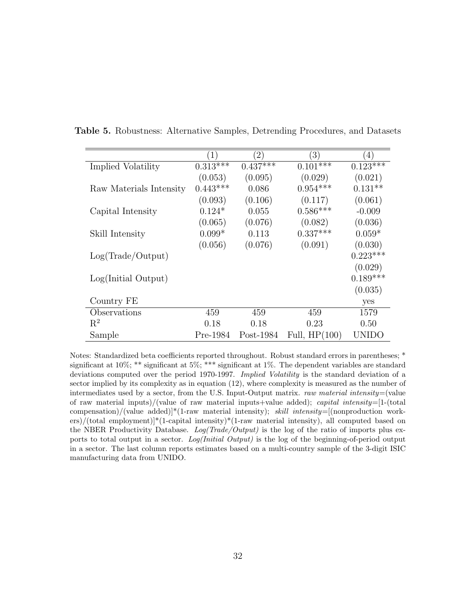|                         | (1)        | $\left(2\right)$ | $\left(3\right)$ | $\left(4\right)$ |
|-------------------------|------------|------------------|------------------|------------------|
| Implied Volatility      | $0.313***$ | $0.437***$       | $0.101***$       | $0.123***$       |
|                         | (0.053)    | (0.095)          | (0.029)          | (0.021)          |
| Raw Materials Intensity | $0.443***$ | 0.086            | $0.954***$       | $0.131**$        |
|                         | (0.093)    | (0.106)          | (0.117)          | (0.061)          |
| Capital Intensity       | $0.124*$   | 0.055            | $0.586***$       | $-0.009$         |
|                         | (0.065)    | (0.076)          | (0.082)          | (0.036)          |
| Skill Intensity         | $0.099*$   | 0.113            | $0.337***$       | $0.059*$         |
|                         | (0.056)    | (0.076)          | (0.091)          | (0.030)          |
| Log(Trade/Output)       |            |                  |                  | $0.223***$       |
|                         |            |                  |                  | (0.029)          |
| Log(Initial Output)     |            |                  |                  | $0.189***$       |
|                         |            |                  |                  | (0.035)          |
| Country FE              |            |                  |                  | yes              |
| Observations            | 459        | 459              | 459              | 1579             |
| $\mathbf{R}^2$          | 0.18       | 0.18             | 0.23             | 0.50             |
| Sample                  | Pre-1984   | $Post-1984$      | Full, $HP(100)$  | UNIDO            |

Table 5. Robustness: Alternative Samples, Detrending Procedures, and Datasets

Notes: Standardized beta coefficients reported throughout. Robust standard errors in parentheses; \* significant at 10%; \*\* significant at 5%; \*\*\* significant at 1%. The dependent variables are standard deviations computed over the period 1970-1997. Implied Volatility is the standard deviation of a sector implied by its complexity as in equation (12), where complexity is measured as the number of intermediates used by a sector, from the U.S. Input-Output matrix. raw material intensity=(value of raw material inputs)/(value of raw material inputs+value added); capital intensity=[1-(total compensation)/(value added)]\*(1-raw material intensity); skill intensity=[(nonproduction workers)/(total employment)]\*(1-capital intensity)\*(1-raw material intensity), all computed based on the NBER Productivity Database.  $Log(Trade/Output)$  is the log of the ratio of imports plus exports to total output in a sector. Log(Initial Output) is the log of the beginning-of-period output in a sector. The last column reports estimates based on a multi-country sample of the 3-digit ISIC manufacturing data from UNIDO.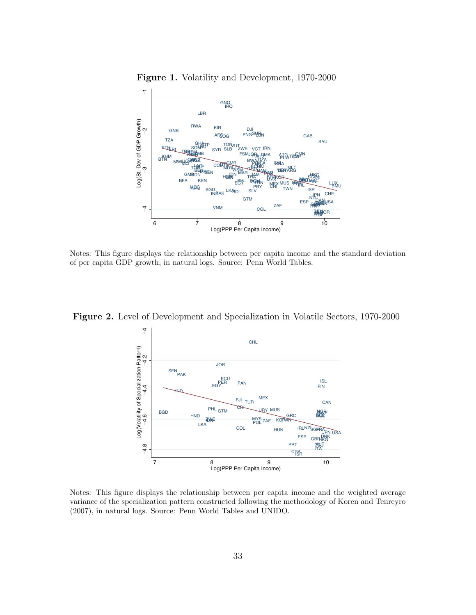

Figure 1. Volatility and Development, 1970-2000

Notes: This figure displays the relationship between per capita income and the standard deviation of per capita GDP growth, in natural logs. Source: Penn World Tables.

Figure 2. Level of Development and Specialization in Volatile Sectors, 1970-2000



Notes: This figure displays the relationship between per capita income and the weighted average variance of the specialization pattern constructed following the methodology of Koren and Tenreyro (2007), in natural logs. Source: Penn World Tables and UNIDO.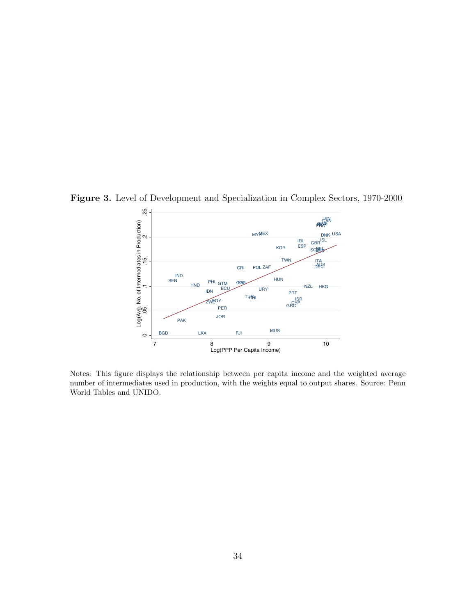Figure 3. Level of Development and Specialization in Complex Sectors, 1970-2000



Notes: This figure displays the relationship between per capita income and the weighted average number of intermediates used in production, with the weights equal to output shares. Source: Penn World Tables and UNIDO.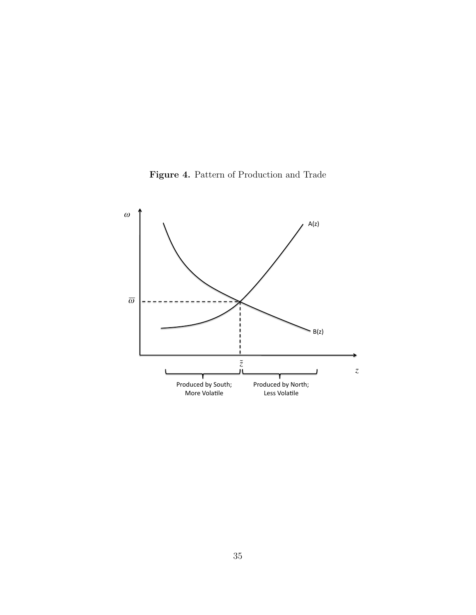Figure 4. Pattern of Production and Trade

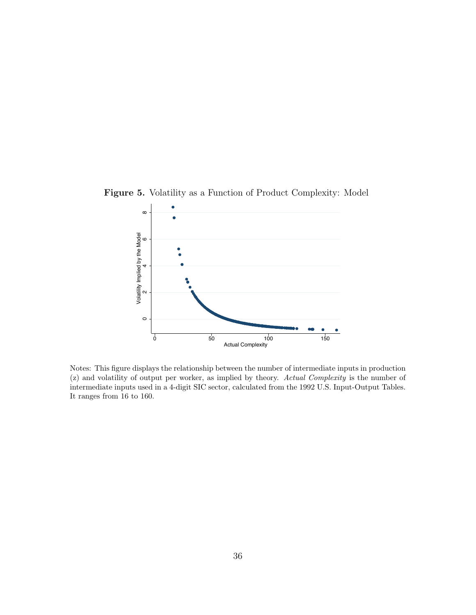

Figure 5. Volatility as a Function of Product Complexity: Model

Notes: This figure displays the relationship between the number of intermediate inputs in production (z) and volatility of output per worker, as implied by theory. Actual Complexity is the number of intermediate inputs used in a 4-digit SIC sector, calculated from the 1992 U.S. Input-Output Tables. It ranges from 16 to 160.